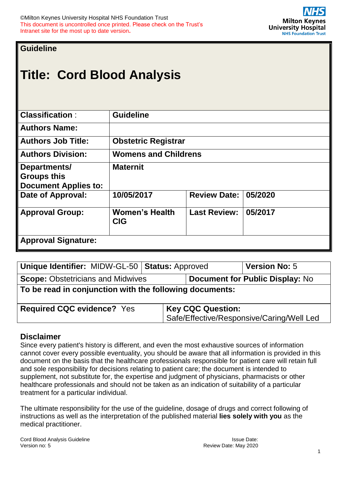**Guideline**

# **Title: Cord Blood Analysis**

| <b>Classification:</b>                                            | <b>Guideline</b>                    |                     |         |
|-------------------------------------------------------------------|-------------------------------------|---------------------|---------|
| <b>Authors Name:</b>                                              |                                     |                     |         |
| <b>Authors Job Title:</b>                                         | <b>Obstetric Registrar</b>          |                     |         |
| <b>Authors Division:</b>                                          | <b>Womens and Childrens</b>         |                     |         |
| Departments/<br><b>Groups this</b><br><b>Document Applies to:</b> | <b>Maternit</b>                     |                     |         |
| Date of Approval:                                                 | 10/05/2017                          | <b>Review Date:</b> | 05/2020 |
| <b>Approval Group:</b>                                            | <b>Women's Health</b><br><b>CIG</b> | <b>Last Review:</b> | 05/2017 |
| <b>Approval Signature:</b>                                        |                                     |                     |         |

| Unique Identifier: MIDW-GL-50   Status: Approved                                   |                          | <b>Version No: 5</b>                      |  |  |  |  |  |
|------------------------------------------------------------------------------------|--------------------------|-------------------------------------------|--|--|--|--|--|
| <b>Scope: Obstetricians and Midwives</b><br><b>Document for Public Display: No</b> |                          |                                           |  |  |  |  |  |
| To be read in conjunction with the following documents:                            |                          |                                           |  |  |  |  |  |
| <b>Required CQC evidence? Yes</b>                                                  | <b>Key CQC Question:</b> | Safe/Effective/Responsive/Caring/Well Led |  |  |  |  |  |

## **Disclaimer**

Since every patient's history is different, and even the most exhaustive sources of information cannot cover every possible eventuality, you should be aware that all information is provided in this document on the basis that the healthcare professionals responsible for patient care will retain full and sole responsibility for decisions relating to patient care; the document is intended to supplement, not substitute for, the expertise and judgment of physicians, pharmacists or other healthcare professionals and should not be taken as an indication of suitability of a particular treatment for a particular individual.

The ultimate responsibility for the use of the guideline, dosage of drugs and correct following of instructions as well as the interpretation of the published material **lies solely with you** as the medical practitioner.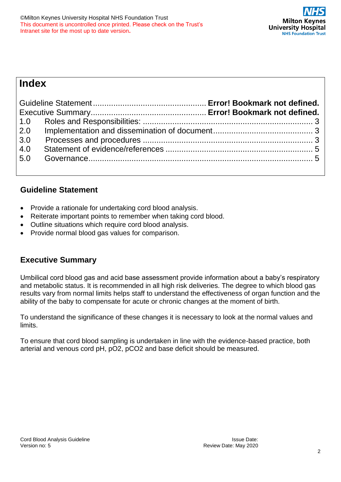## **Index**

| 3.0 |  |
|-----|--|
| 4.0 |  |
|     |  |
|     |  |

## **Guideline Statement**

- Provide a rationale for undertaking cord blood analysis.
- Reiterate important points to remember when taking cord blood.
- Outline situations which require cord blood analysis.
- Provide normal blood gas values for comparison.

## **Executive Summary**

Umbilical cord blood gas and acid base assessment provide information about a baby's respiratory and metabolic status. It is recommended in all high risk deliveries. The degree to which blood gas results vary from normal limits helps staff to understand the effectiveness of organ function and the ability of the baby to compensate for acute or chronic changes at the moment of birth.

To understand the significance of these changes it is necessary to look at the normal values and limits.

To ensure that cord blood sampling is undertaken in line with the evidence-based practice, both arterial and venous cord pH, pO2, pCO2 and base deficit should be measured.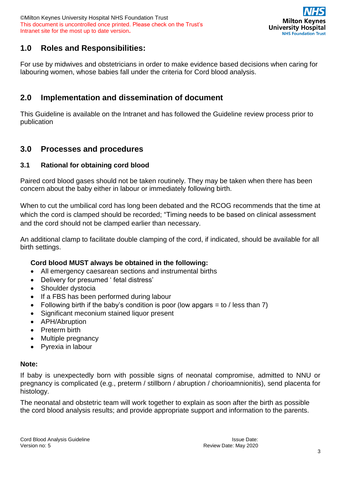©Milton Keynes University Hospital NHS Foundation Trust This document is uncontrolled once printed. Please check on the Trust's Intranet site for the most up to date version**.**



## <span id="page-2-0"></span>**1.0 Roles and Responsibilities:**

For use by midwives and obstetricians in order to make evidence based decisions when caring for labouring women, whose babies fall under the criteria for Cord blood analysis.

## <span id="page-2-1"></span>**2.0 Implementation and dissemination of document**

This Guideline is available on the Intranet and has followed the Guideline review process prior to publication

## <span id="page-2-2"></span>**3.0 Processes and procedures**

#### **3.1 Rational for obtaining cord blood**

Paired cord blood gases should not be taken routinely. They may be taken when there has been concern about the baby either in labour or immediately following birth.

When to cut the umbilical cord has long been debated and the RCOG recommends that the time at which the cord is clamped should be recorded; "Timing needs to be based on clinical assessment and the cord should not be clamped earlier than necessary.

An additional clamp to facilitate double clamping of the cord, if indicated, should be available for all birth settings.

#### **Cord blood MUST always be obtained in the following:**

- All emergency caesarean sections and instrumental births
- Delivery for presumed ' fetal distress'
- Shoulder dystocia
- If a FBS has been performed during labour
- Following birth if the baby's condition is poor (low apgars  $=$  to / less than 7)
- Significant meconium stained liquor present
- APH/Abruption
- Preterm birth
- Multiple pregnancy
- Pyrexia in labour

#### **Note:**

If baby is unexpectedly born with possible signs of neonatal compromise, admitted to NNU or pregnancy is complicated (e.g., preterm / stillborn / abruption / chorioamnionitis), send placenta for histology.

The neonatal and obstetric team will work together to explain as soon after the birth as possible the cord blood analysis results; and provide appropriate support and information to the parents.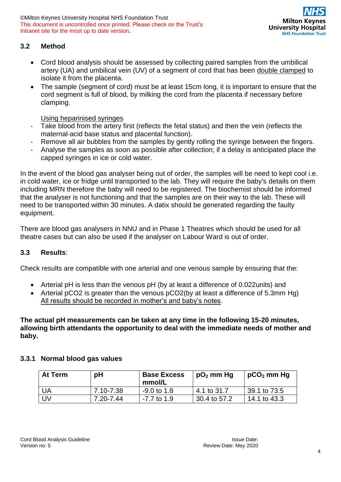©Milton Keynes University Hospital NHS Foundation Trust This document is uncontrolled once printed. Please check on the Trust's Intranet site for the most up to date version**.**



#### **3.2 Method**

- Cord blood analysis should be assessed by collecting paired samples from the umbilical artery (UA) and umbilical vein (UV) of a segment of cord that has been double clamped to isolate it from the placenta.
- The sample (segment of cord) must be at least 15cm long, it is important to ensure that the cord segment is full of blood, by milking the cord from the placenta if necessary before clamping.

Using heparinised syringes

- Take blood from the artery first (reflects the fetal status) and then the vein (reflects the maternal-acid base status and placental function).
- Remove all air bubbles from the samples by gently rolling the syringe between the fingers.
- Analyse the samples as soon as possible after collection; if a delay is anticipated place the capped syringes in ice or cold water.

In the event of the blood gas analyser being out of order, the samples will be need to kept cool i.e. in cold water, ice or fridge until transported to the lab. They will require the baby's details on them including MRN therefore the baby will need to be registered. The biochemist should be informed that the analyser is not functioning and that the samples are on their way to the lab. These will need to be transported within 30 minutes. A datix should be generated regarding the faulty equipment.

There are blood gas analysers in NNU and in Phase 1 Theatres which should be used for all theatre cases but can also be used if the analyser on Labour Ward is out of order.

#### **3.3 Results**:

Check results are compatible with one arterial and one venous sample by ensuring that the:

- Arterial pH is less than the venous pH (by at least a difference of 0.022units) and
- Arterial pCO2 is greater than the venous pCO2(by at least a difference of 5.3mm Hg) All results should be recorded in mother's and baby's notes.

**The actual pH measurements can be taken at any time in the following 15-20 minutes, allowing birth attendants the opportunity to deal with the immediate needs of mother and baby.**

#### **3.3.1 Normal blood gas values**

| At Term | pH        | <b>Base Excess</b><br>mmol/L | $pO2$ mm Hg  | $pCO2$ mm Hg   |
|---------|-----------|------------------------------|--------------|----------------|
| UA      | 7.10-7.38 | $-9.0$ to 1.8                | 4.1 to 31.7  | 39.1 to 73.5   |
| UV      | 7.20-7.44 | $-7.7$ to 1.9                | 30.4 to 57.2 | $14.1$ to 43.3 |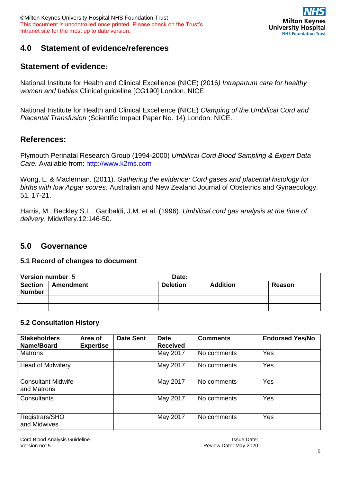

## <span id="page-4-0"></span>**4.0 Statement of evidence/references**

## **Statement of evidence:**

National Institute for Health and Clinical Excellence (NICE) (2016*) Intrapartum care for healthy women and babies* Clinical guideline [CG190] London. NICE

National Institute for Health and Clinical Excellence (NICE) *Clamping of the Umbilical Cord and Placental Transfusion* (Scientific Impact Paper No. 14) London. NICE.

## **References:**

Plymouth Perinatal Research Group (1994-2000) *Umbilical Cord Blood Sampling & Expert Data Care.* Available from: [http://www.k2ms.com](http://www.k2ms.com/)

Wong, L. & Maclennan. (2011). *Gathering the evidence: Cord gases and placental histology for births with low Apgar scores*. Australian and New Zealand Journal of Obstetrics and Gynaecology. 51, 17-21.

Harris, M., Beckley S.L., Garibaldi, J.M. et al. (1996). *Umbilical cord gas analysis at the time of delivery*. Midwifery.12:146-50.

## <span id="page-4-1"></span>**5.0 Governance**

#### **5.1 Record of changes to document**

| <b>Version number: 5</b>        |           | Date:           |                 |        |  |  |
|---------------------------------|-----------|-----------------|-----------------|--------|--|--|
| <b>Section</b><br><b>Number</b> | Amendment | <b>Deletion</b> | <b>Addition</b> | Reason |  |  |
|                                 |           |                 |                 |        |  |  |
|                                 |           |                 |                 |        |  |  |

#### **5.2 Consultation History**

| <b>Stakeholders</b><br>Name/Board        | Area of<br><b>Expertise</b> | <b>Date Sent</b> | <b>Date</b><br><b>Received</b> | <b>Comments</b> | <b>Endorsed Yes/No</b> |
|------------------------------------------|-----------------------------|------------------|--------------------------------|-----------------|------------------------|
| Matrons                                  |                             |                  | May 2017                       | No comments     | Yes                    |
| <b>Head of Midwifery</b>                 |                             |                  | May 2017                       | No comments     | Yes                    |
| <b>Consultant Midwife</b><br>and Matrons |                             |                  | May 2017                       | No comments     | Yes                    |
| Consultants                              |                             |                  | May 2017                       | No comments     | Yes                    |
| Registrars/SHO<br>and Midwives           |                             |                  | May 2017                       | No comments     | Yes                    |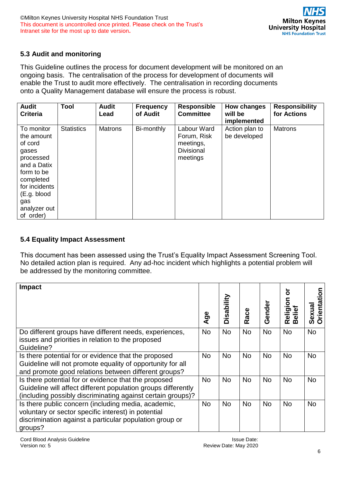

#### **5.3 Audit and monitoring**

This Guideline outlines the process for document development will be monitored on an ongoing basis. The centralisation of the process for development of documents will enable the Trust to audit more effectively. The centralisation in recording documents onto a Quality Management database will ensure the process is robust.

| <b>Audit</b><br><b>Criteria</b>                                                                                                                                         | Tool              | <b>Audit</b><br>Lead | <b>Frequency</b><br>of Audit | <b>Responsible</b><br><b>Committee</b>                            | How changes<br>will be<br>implemented | <b>Responsibility</b><br>for Actions |
|-------------------------------------------------------------------------------------------------------------------------------------------------------------------------|-------------------|----------------------|------------------------------|-------------------------------------------------------------------|---------------------------------------|--------------------------------------|
| To monitor<br>the amount<br>of cord<br>gases<br>processed<br>and a Datix<br>form to be<br>completed<br>for incidents<br>(E.g. blood<br>gas<br>analyzer out<br>of order) | <b>Statistics</b> | <b>Matrons</b>       | Bi-monthly                   | Labour Ward<br>Forum, Risk<br>meetings,<br>Divisional<br>meetings | Action plan to<br>be developed        | <b>Matrons</b>                       |

#### **5.4 Equality Impact Assessment**

This document has been assessed using the Trust's Equality Impact Assessment Screening Tool. No detailed action plan is required. Any ad-hoc incident which highlights a potential problem will be addressed by the monitoring committee.

| Impact                                                                                                                                                                               |           |            |           |           |                        |                            |
|--------------------------------------------------------------------------------------------------------------------------------------------------------------------------------------|-----------|------------|-----------|-----------|------------------------|----------------------------|
|                                                                                                                                                                                      | Age       | Disability | Race      | Gender    | <u>ទ</u><br>Relig<br>മ | <b>Orientati</b><br>Sexual |
| Do different groups have different needs, experiences,<br>issues and priorities in relation to the proposed<br>Guideline?                                                            | <b>No</b> | <b>No</b>  | <b>No</b> | <b>No</b> | <b>No</b>              | <b>No</b>                  |
| Is there potential for or evidence that the proposed<br>Guideline will not promote equality of opportunity for all<br>and promote good relations between different groups?           | <b>No</b> | No.        | No        | <b>No</b> | <b>No</b>              | <b>No</b>                  |
| Is there potential for or evidence that the proposed<br>Guideline will affect different population groups differently<br>(including possibly discriminating against certain groups)? | <b>No</b> | <b>No</b>  | <b>No</b> | <b>No</b> | <b>No</b>              | <b>No</b>                  |
| Is there public concern (including media, academic,<br>voluntary or sector specific interest) in potential<br>discrimination against a particular population group or<br>groups?     | <b>No</b> | No         | <b>No</b> | No        | <b>No</b>              | <b>No</b>                  |